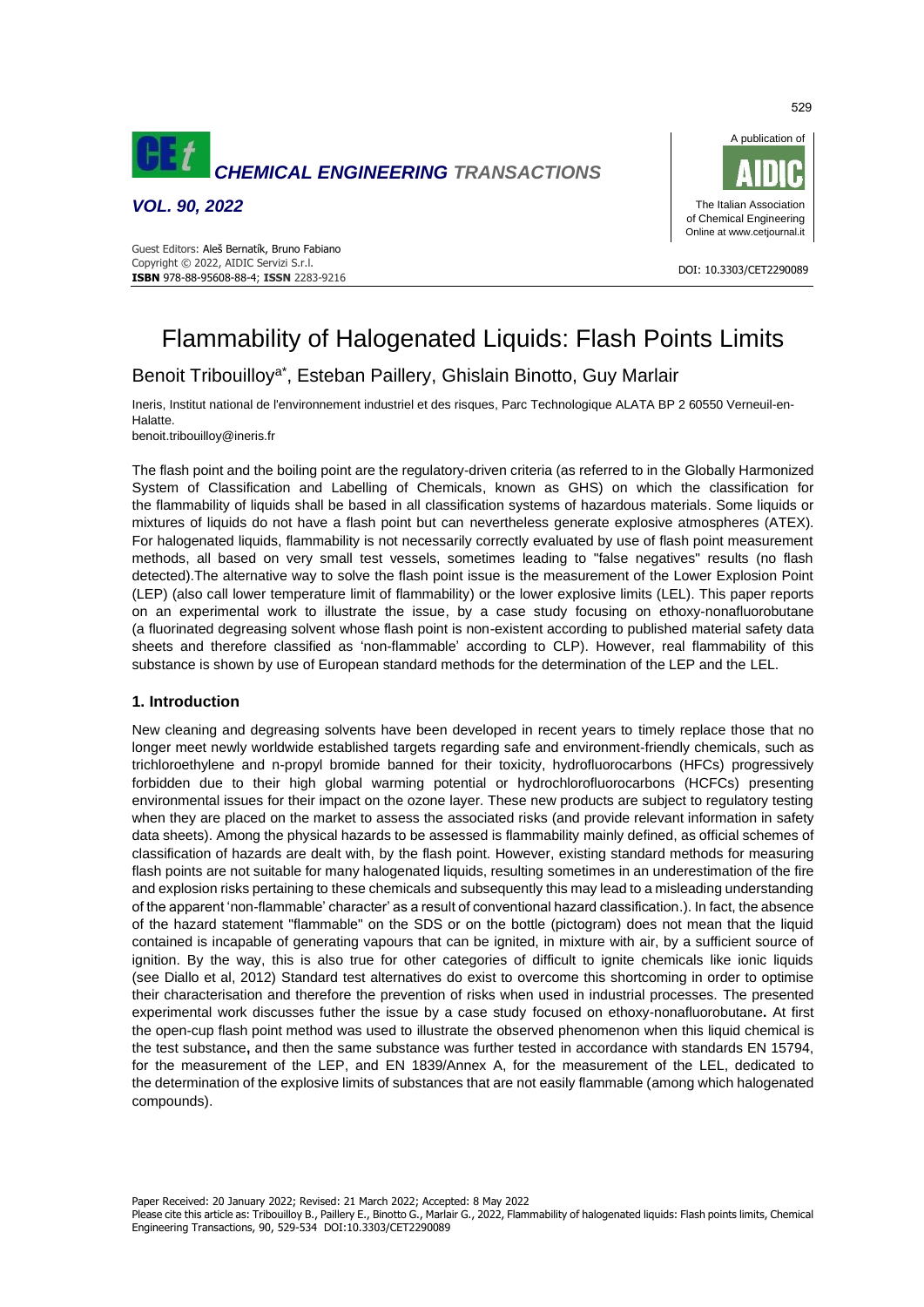

*VOL. 90, 2022*





# Flammability of Halogenated Liquids: Flash Points Limits

Benoit Tribouilloy<sup>a\*</sup>, Esteban Paillery, Ghislain Binotto, Guy Marlair

Ineris, Institut national de l'environnement industriel et des risques, Parc Technologique ALATA BP 2 60550 Verneuil-en-Halatte.

benoit.tribouilloy@ineris.fr

The flash point and the boiling point are the regulatory-driven criteria (as referred to in the Globally Harmonized System of Classification and Labelling of Chemicals, known as GHS) on which the classification for the flammability of liquids shall be based in all classification systems of hazardous materials. Some liquids or mixtures of liquids do not have a flash point but can nevertheless generate explosive atmospheres (ATEX). For halogenated liquids, flammability is not necessarily correctly evaluated by use of flash point measurement methods, all based on very small test vessels, sometimes leading to "false negatives" results (no flash detected).The alternative way to solve the flash point issue is the measurement of the Lower Explosion Point (LEP) (also call lower temperature limit of flammability) or the lower explosive limits (LEL). This paper reports on an experimental work to illustrate the issue, by a case study focusing on ethoxy-nonafluorobutane (a fluorinated degreasing solvent whose flash point is non-existent according to published material safety data sheets and therefore classified as 'non-flammable' according to CLP). However, real flammability of this substance is shown by use of European standard methods for the determination of the LEP and the LEL.

# **1. Introduction**

New cleaning and degreasing solvents have been developed in recent years to timely replace those that no longer meet newly worldwide established targets regarding safe and environment-friendly chemicals, such as trichloroethylene and n-propyl bromide banned for their toxicity, hydrofluorocarbons (HFCs) progressively forbidden due to their high global warming potential or hydrochlorofluorocarbons (HCFCs) presenting environmental issues for their impact on the ozone layer. These new products are subject to regulatory testing when they are placed on the market to assess the associated risks (and provide relevant information in safety data sheets). Among the physical hazards to be assessed is flammability mainly defined, as official schemes of classification of hazards are dealt with, by the flash point. However, existing standard methods for measuring flash points are not suitable for many halogenated liquids, resulting sometimes in an underestimation of the fire and explosion risks pertaining to these chemicals and subsequently this may lead to a misleading understanding of the apparent 'non-flammable' character' as a result of conventional hazard classification.). In fact, the absence of the hazard statement "flammable" on the SDS or on the bottle (pictogram) does not mean that the liquid contained is incapable of generating vapours that can be ignited, in mixture with air, by a sufficient source of ignition. By the way, this is also true for other categories of difficult to ignite chemicals like ionic liquids (see Diallo et al, 2012) Standard test alternatives do exist to overcome this shortcoming in order to optimise their characterisation and therefore the prevention of risks when used in industrial processes. The presented experimental work discusses futher the issue by a case study focused on ethoxy-nonafluorobutane**.** At first the open-cup flash point method was used to illustrate the observed phenomenon when this liquid chemical is the test substance**,** and then the same substance was further tested in accordance with standards EN 15794, for the measurement of the LEP, and EN 1839/Annex A, for the measurement of the LEL, dedicated to the determination of the explosive limits of substances that are not easily flammable (among which halogenated compounds).

Paper Received: 20 January 2022; Revised: 21 March 2022; Accepted: 8 May 2022

Please cite this article as: Tribouilloy B., Paillery E., Binotto G., Marlair G., 2022, Flammability of halogenated liquids: Flash points limits, Chemical Engineering Transactions, 90, 529-534 DOI:10.3303/CET2290089

529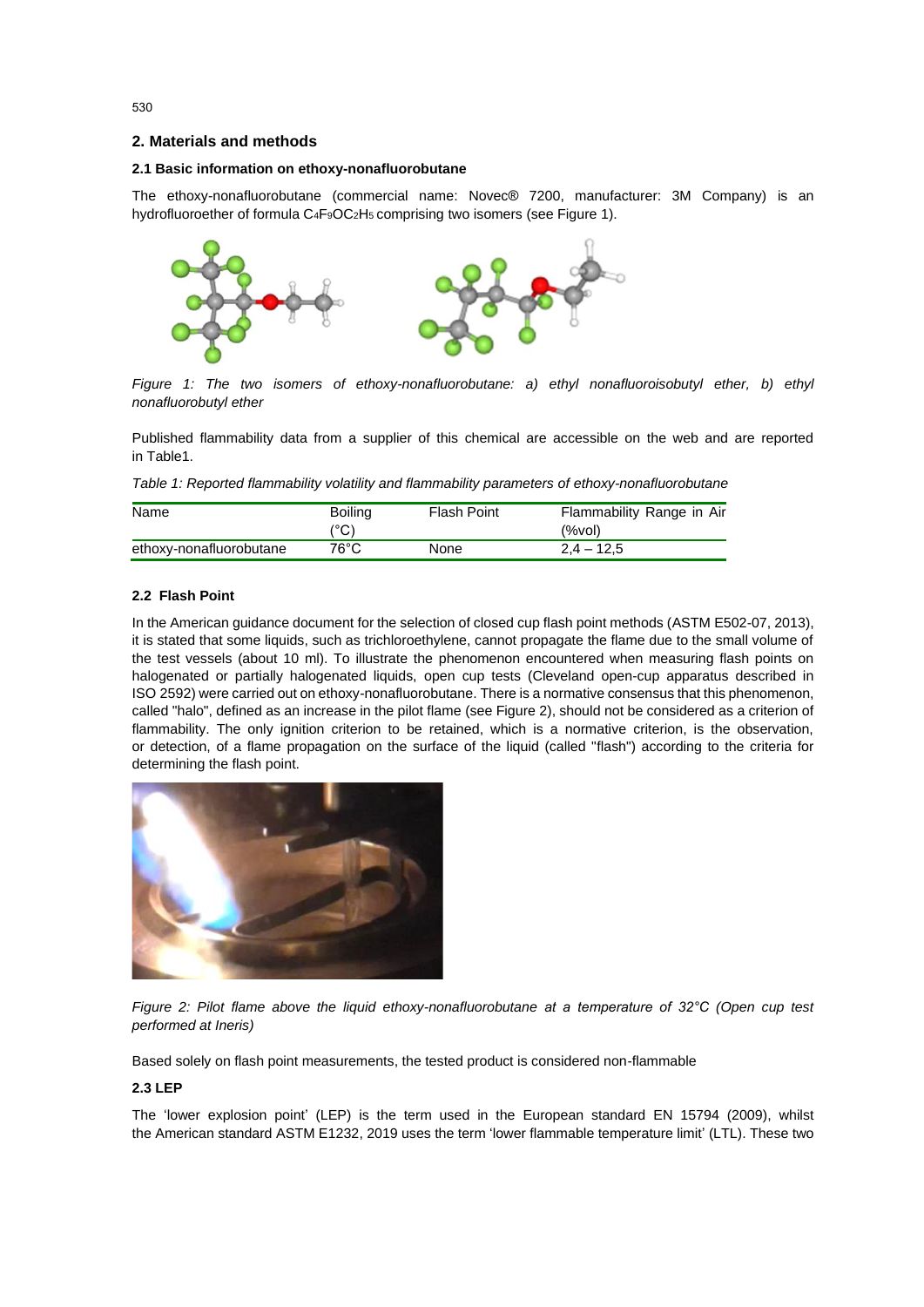# **2. Materials and methods**

# **2.1 Basic information on ethoxy-nonafluorobutane**

The ethoxy-nonafluorobutane (commercial name: Novec® 7200, manufacturer: 3M Company) is an hydrofluoroether of formula C<sub>4</sub>F<sub>9</sub>OC<sub>2</sub>H<sub>5</sub> comprising two isomers (see Figure 1).



*Figure 1: The two isomers of ethoxy-nonafluorobutane: a) ethyl nonafluoroisobutyl ether, b) ethyl nonafluorobutyl ether*

Published flammability data from a supplier of this chemical are accessible on the web and are reported in Table1.

*Table 1: Reported flammability volatility and flammability parameters of ethoxy-nonafluorobutane*

| Name                    | <b>Boiling</b> | Flash Point | Flammability Range in Air |
|-------------------------|----------------|-------------|---------------------------|
|                         | (°C)           |             | $(\%$ vol $)$             |
| ethoxy-nonafluorobutane | 76°C.          | None        | $2.4 - 12.5$              |

# **2.2 Flash Point**

In the American guidance document for the selection of closed cup flash point methods (ASTM E502-07, 2013), it is stated that some liquids, such as trichloroethylene, cannot propagate the flame due to the small volume of the test vessels (about 10 ml). To illustrate the phenomenon encountered when measuring flash points on halogenated or partially halogenated liquids, open cup tests (Cleveland open-cup apparatus described in ISO 2592) were carried out on ethoxy-nonafluorobutane. There is a normative consensus that this phenomenon, called "halo", defined as an increase in the pilot flame (see Figure 2), should not be considered as a criterion of flammability. The only ignition criterion to be retained, which is a normative criterion, is the observation, or detection, of a flame propagation on the surface of the liquid (called "flash") according to the criteria for determining the flash point.



*Figure 2: Pilot flame above the liquid ethoxy-nonafluorobutane at a temperature of 32°C (Open cup test performed at Ineris)*

Based solely on flash point measurements, the tested product is considered non-flammable

# **2.3 LEP**

The 'lower explosion point' (LEP) is the term used in the European standard EN 15794 (2009), whilst the American standard ASTM E1232, 2019 uses the term 'lower flammable temperature limit' (LTL). These two

530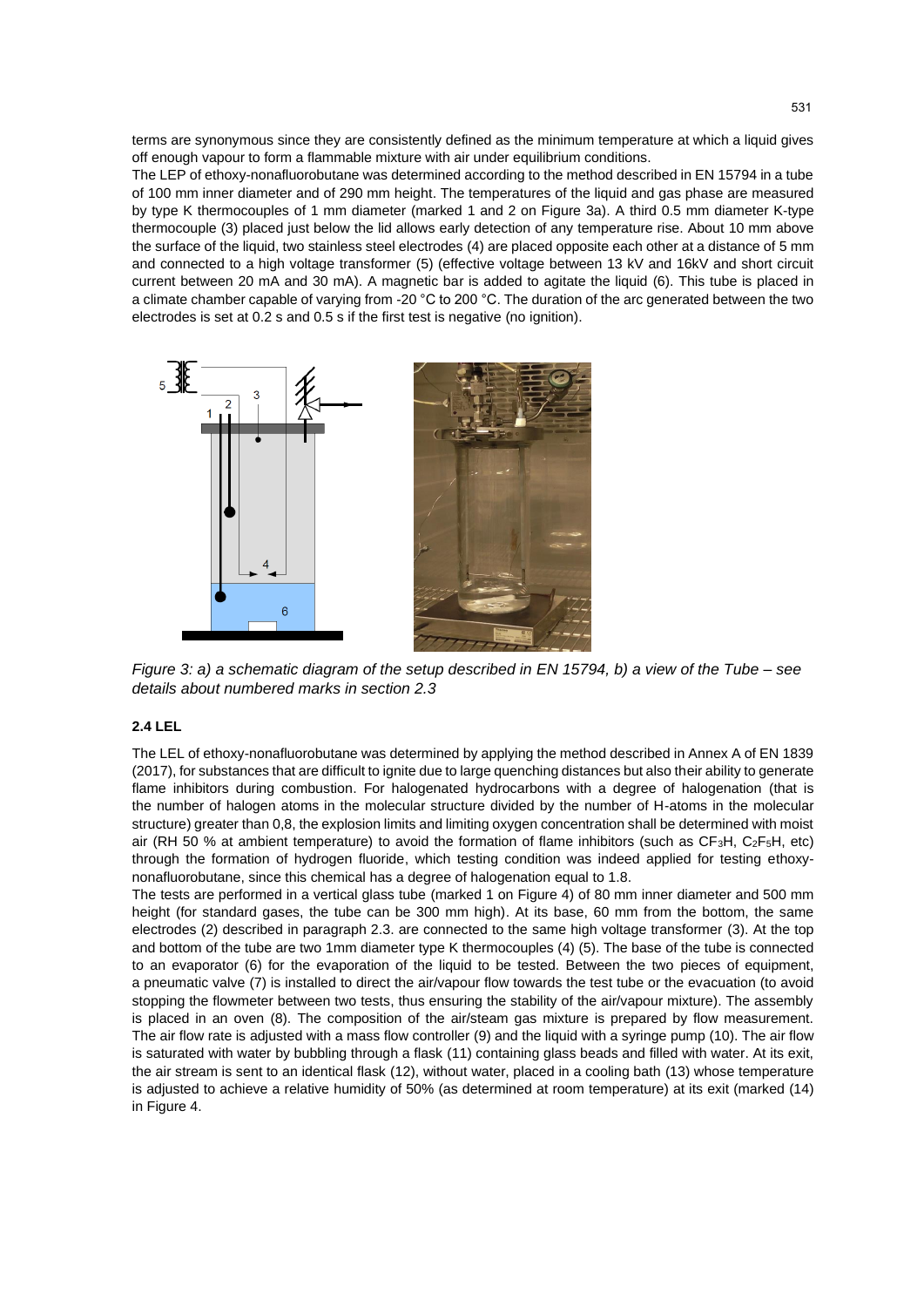terms are synonymous since they are consistently defined as the minimum temperature at which a liquid gives off enough vapour to form a flammable mixture with air under equilibrium conditions.

The LEP of ethoxy-nonafluorobutane was determined according to the method described in EN 15794 in a tube of 100 mm inner diameter and of 290 mm height. The temperatures of the liquid and gas phase are measured by type K thermocouples of 1 mm diameter (marked 1 and 2 on Figure 3a). A third 0.5 mm diameter K-type thermocouple (3) placed just below the lid allows early detection of any temperature rise. About 10 mm above the surface of the liquid, two stainless steel electrodes (4) are placed opposite each other at a distance of 5 mm and connected to a high voltage transformer (5) (effective voltage between 13 kV and 16kV and short circuit current between 20 mA and 30 mA). A magnetic bar is added to agitate the liquid (6). This tube is placed in a climate chamber capable of varying from -20 °C to 200 °C. The duration of the arc generated between the two electrodes is set at 0.2 s and 0.5 s if the first test is negative (no ignition).



*Figure 3: a) a schematic diagram of the setup described in EN 15794, b) a view of the Tube – see details about numbered marks in section 2.3*

# **2.4 LEL**

The LEL of ethoxy-nonafluorobutane was determined by applying the method described in Annex A of EN 1839 (2017), for substances that are difficult to ignite due to large quenching distances but also their ability to generate flame inhibitors during combustion. For halogenated hydrocarbons with a degree of halogenation (that is the number of halogen atoms in the molecular structure divided by the number of H-atoms in the molecular structure) greater than 0,8, the explosion limits and limiting oxygen concentration shall be determined with moist air (RH 50 % at ambient temperature) to avoid the formation of flame inhibitors (such as CF3H, C2F5H, etc) through the formation of hydrogen fluoride, which testing condition was indeed applied for testing ethoxynonafluorobutane, since this chemical has a degree of halogenation equal to 1.8.

The tests are performed in a vertical glass tube (marked 1 on Figure 4) of 80 mm inner diameter and 500 mm height (for standard gases, the tube can be 300 mm high). At its base, 60 mm from the bottom, the same electrodes (2) described in paragraph 2.3. are connected to the same high voltage transformer (3). At the top and bottom of the tube are two 1mm diameter type K thermocouples (4) (5). The base of the tube is connected to an evaporator (6) for the evaporation of the liquid to be tested. Between the two pieces of equipment, a pneumatic valve (7) is installed to direct the air/vapour flow towards the test tube or the evacuation (to avoid stopping the flowmeter between two tests, thus ensuring the stability of the air/vapour mixture). The assembly is placed in an oven (8). The composition of the air/steam gas mixture is prepared by flow measurement. The air flow rate is adjusted with a mass flow controller (9) and the liquid with a syringe pump (10). The air flow is saturated with water by bubbling through a flask (11) containing glass beads and filled with water. At its exit, the air stream is sent to an identical flask (12), without water, placed in a cooling bath (13) whose temperature is adjusted to achieve a relative humidity of 50% (as determined at room temperature) at its exit (marked (14) in Figure 4.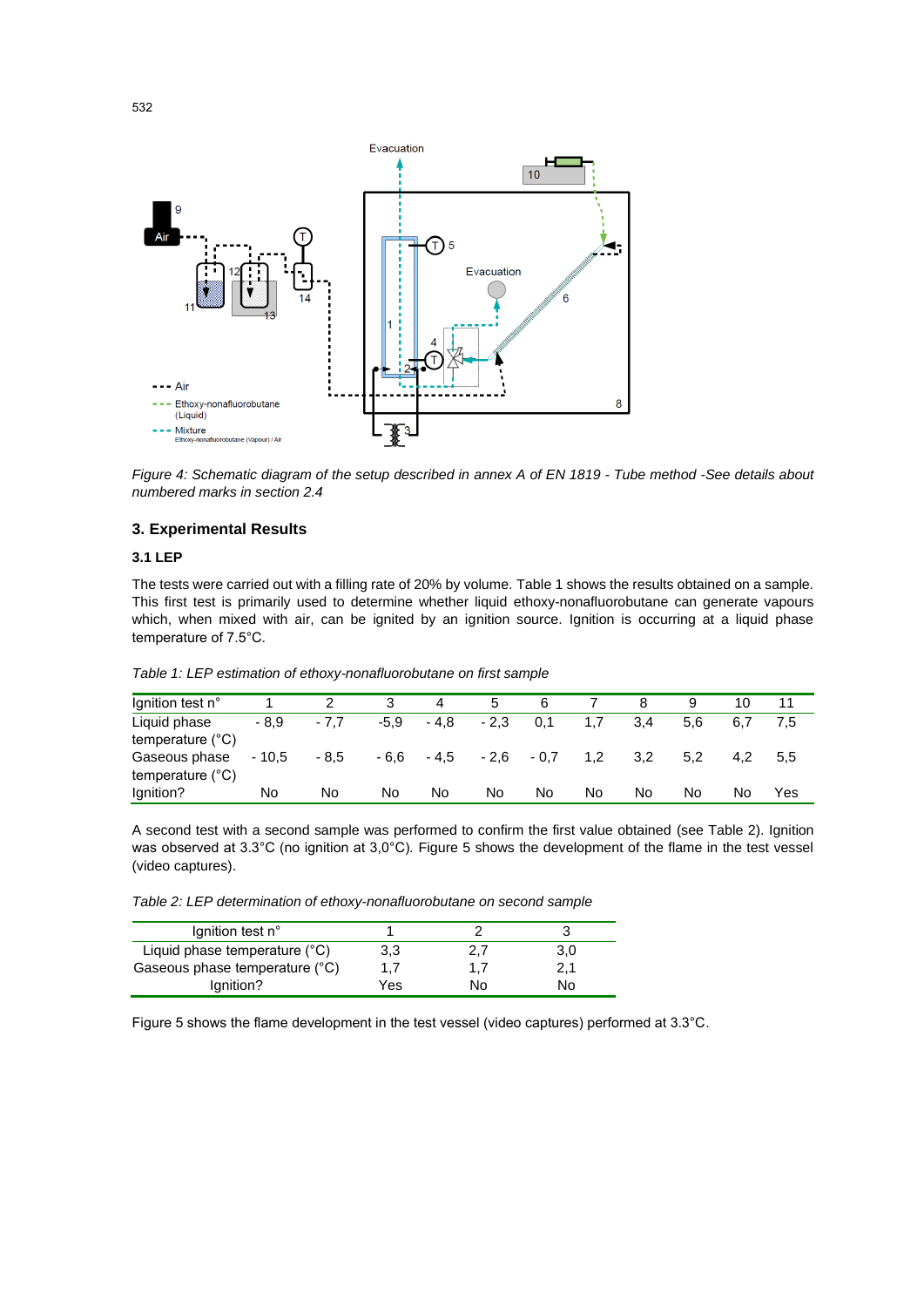

*Figure 4: Schematic diagram of the setup described in annex A of EN 1819 - Tube method -See details about numbered marks in section 2.4*

# **3. Experimental Results**

#### **3.1 LEP**

The tests were carried out with a filling rate of 20% by volume. Table 1 shows the results obtained on a sample. This first test is primarily used to determine whether liquid ethoxy-nonafluorobutane can generate vapours which, when mixed with air, can be ignited by an ignition source. Ignition is occurring at a liquid phase temperature of 7.5°C.

| Ignition test n°          |         |        | 3      | 4      | 5      | 6      |     |     |     |     |     |
|---------------------------|---------|--------|--------|--------|--------|--------|-----|-----|-----|-----|-----|
| Liquid phase              | $-8.9$  | $-7.7$ | $-5.9$ | $-4,8$ | $-2.3$ | 0.1    | 1.7 | 3.4 | 5.6 | 6.7 |     |
| temperature $(^{\circ}C)$ |         |        |        |        |        |        |     |     |     |     |     |
| Gaseous phase             | $-10.5$ | $-8.5$ | $-6,6$ | $-4,5$ | $-2.6$ | $-0.7$ | 1.2 | 3,2 | 5.2 | 4.2 | 5.5 |
| temperature $(^{\circ}C)$ |         |        |        |        |        |        |     |     |     |     |     |
| Ignition?                 | No      | No     | No     | No     | No     | No     | No  | No  | No  | No  | Yes |

*Table 1: LEP estimation of ethoxy-nonafluorobutane on first sample*

A second test with a second sample was performed to confirm the first value obtained (see Table 2). Ignition was observed at 3.3°C (no ignition at 3,0°C). Figure 5 shows the development of the flame in the test vessel (video captures).

*Table 2: LEP determination of ethoxy-nonafluorobutane on second sample*

| lgnition test n°               |     |    |     |
|--------------------------------|-----|----|-----|
| Liquid phase temperature (°C)  | 3,3 |    | 3,0 |
| Gaseous phase temperature (°C) |     |    | 2.1 |
| lgnition?                      | Yes | N٥ | N٥  |

Figure 5 shows the flame development in the test vessel (video captures) performed at 3.3°C.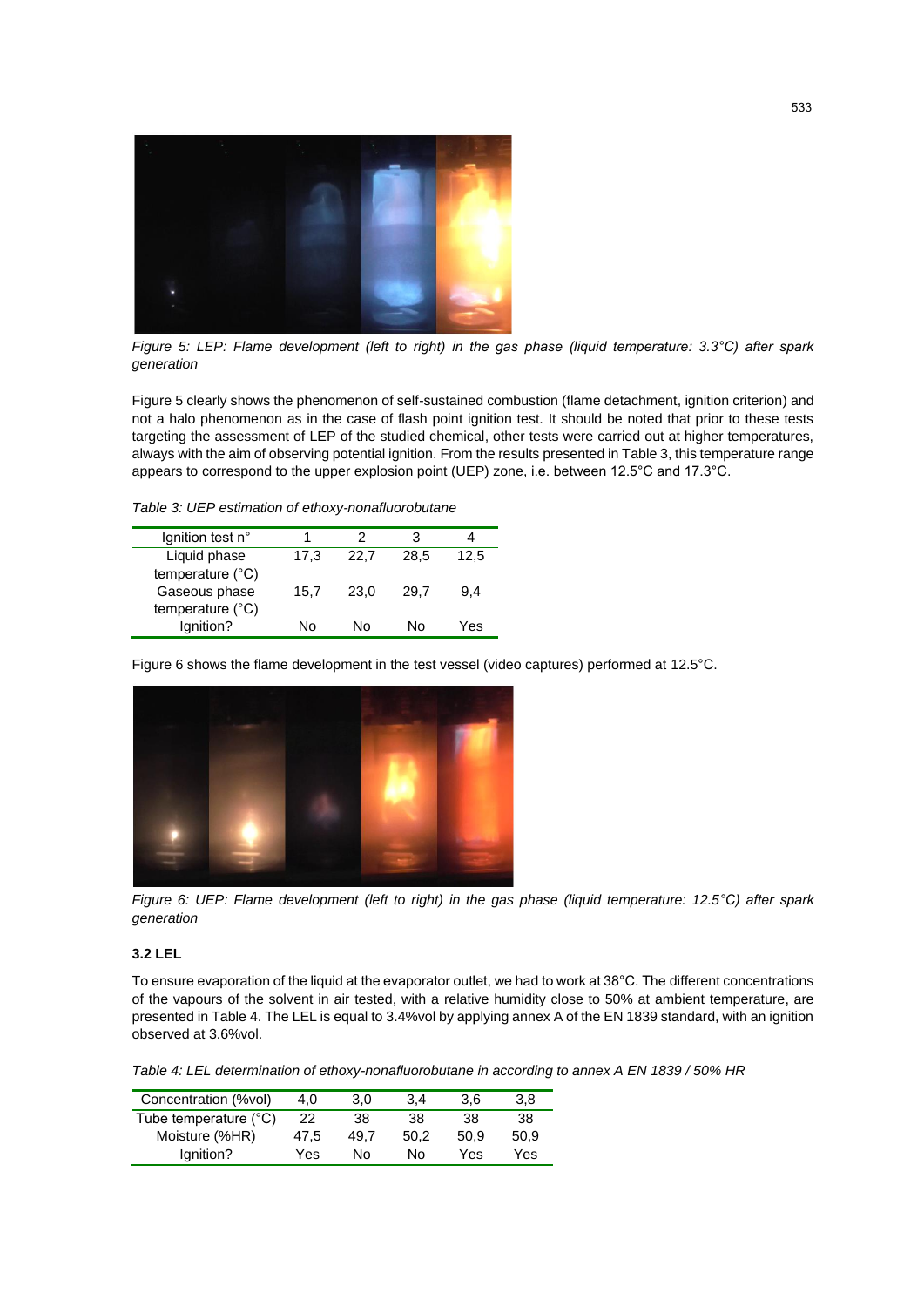

*Figure 5: LEP: Flame development (left to right) in the gas phase (liquid temperature: 3.3°C) after spark generation*

Figure 5 clearly shows the phenomenon of self-sustained combustion (flame detachment, ignition criterion) and not a halo phenomenon as in the case of flash point ignition test. It should be noted that prior to these tests targeting the assessment of LEP of the studied chemical, other tests were carried out at higher temperatures, always with the aim of observing potential ignition. From the results presented in Table 3, this temperature range appears to correspond to the upper explosion point (UEP) zone, i.e. between 12.5°C and 17.3°C.

*Table 3: UEP estimation of ethoxy-nonafluorobutane*

| lgnition test n°                           |      | 2    | 3    |      |
|--------------------------------------------|------|------|------|------|
| Liquid phase<br>temperature $(^{\circ}C)$  | 17,3 | 22.7 | 28.5 | 12,5 |
| Gaseous phase<br>temperature $(^{\circ}C)$ | 15.7 | 23,0 | 29.7 | 9.4  |
| Ignition?                                  | N٥   | N٥   | N٥   | Yes  |

Figure 6 shows the flame development in the test vessel (video captures) performed at 12.5°C.



*Figure 6: UEP: Flame development (left to right) in the gas phase (liquid temperature: 12.5°C) after spark generation*

# **3.2 LEL**

To ensure evaporation of the liquid at the evaporator outlet, we had to work at 38°C. The different concentrations of the vapours of the solvent in air tested, with a relative humidity close to 50% at ambient temperature, are presented in Table 4. The LEL is equal to 3.4%vol by applying annex A of the EN 1839 standard, with an ignition observed at 3.6%vol.

*Table 4: LEL determination of ethoxy-nonafluorobutane in according to annex A EN 1839 / 50% HR*

| Concentration (%vol)  | 4.0  | 3.0  | 3.4  | 3.6  | 3.8  |
|-----------------------|------|------|------|------|------|
| Tube temperature (°C) | 22   | 38   | 38   | 38   | 38   |
| Moisture (%HR)        | 47.5 | 49.7 | 50.2 | 50.9 | 50.9 |
| lgnition?             | Yes  | N٥   | N٥   | Yes  | Yes  |